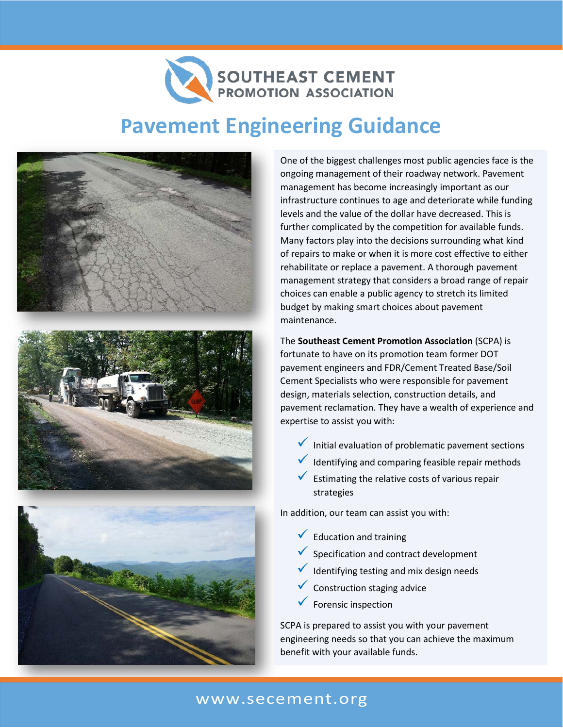## SOUTHEAST CEMENT

## **Pavement Engineering Guidance**







One of the biggest challenges most public agencies face is the ongoing management of their roadway network. Pavement management has become increasingly important as our infrastructure continues to age and deteriorate while funding levels and the value of the dollar have decreased. This is further complicated by the competition for available funds. Many factors play into the decisions surrounding what kind of repairs to make or when it is more cost effective to either rehabilitate or replace a pavement. A thorough pavement management strategy that considers a broad range of repair choices can enable a public agency to stretch its limited budget by making smart choices about pavement maintenance.

The **Southeast Cement Promotion Association** (SCPA) is fortunate to have on its promotion team former DOT pavement engineers and FDR/Cement Treated Base/Soil Cement Specialists who were responsible for pavement design, materials selection, construction details, and pavement reclamation. They have a wealth of experience and expertise to assist you with:

- $\checkmark$  Initial evaluation of problematic pavement sections
- Identifying and comparing feasible repair methods
- $\checkmark$  Estimating the relative costs of various repair strategies

In addition, our team can assist you with:

- $\sqrt{\phantom{a}}$  Education and training
- Specification and contract development
- Identifying testing and mix design needs
- Construction staging advice
- Forensic inspection

SCPA is prepared to assist you with your pavement engineering needs so that you can achieve the maximum benefit with your available funds.

## www.secement.org